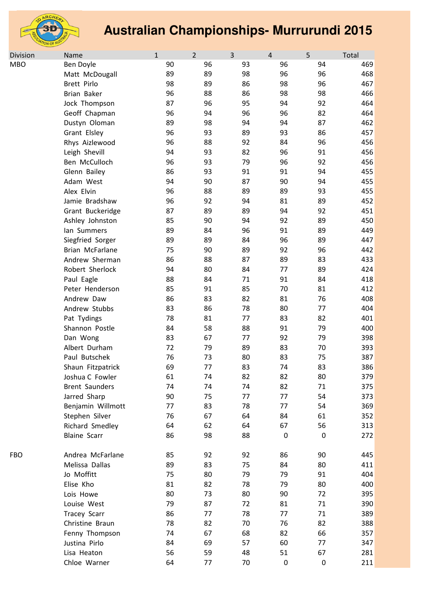

| Division   | Name                  | $\mathbf{1}$ | $\overline{2}$ | 3  | $\overline{4}$   | 5         | Total |
|------------|-----------------------|--------------|----------------|----|------------------|-----------|-------|
| <b>MBO</b> | Ben Doyle             | 90           | 96             | 93 | 96               | 94        | 469   |
|            | Matt McDougall        | 89           | 89             | 98 | 96               | 96        | 468   |
|            | Brett Pirlo           | 98           | 89             | 86 | 98               | 96        | 467   |
|            | Brian Baker           | 96           | 88             | 86 | 98               | 98        | 466   |
|            | Jock Thompson         | 87           | 96             | 95 | 94               | 92        | 464   |
|            | Geoff Chapman         | 96           | 94             | 96 | 96               | 82        | 464   |
|            | Dustyn Oloman         | 89           | 98             | 94 | 94               | 87        | 462   |
|            | Grant Elsley          | 96           | 93             | 89 | 93               | 86        | 457   |
|            | Rhys Aizlewood        | 96           | 88             | 92 | 84               | 96        | 456   |
|            | Leigh Shevill         | 94           | 93             | 82 | 96               | 91        | 456   |
|            | Ben McCulloch         | 96           | 93             | 79 | 96               | 92        | 456   |
|            | Glenn Bailey          | 86           | 93             | 91 | 91               | 94        | 455   |
|            | Adam West             | 94           | 90             | 87 | 90               | 94        | 455   |
|            | Alex Elvin            | 96           | 88             | 89 | 89               | 93        | 455   |
|            | Jamie Bradshaw        | 96           | 92             | 94 | 81               | 89        | 452   |
|            | Grant Buckeridge      | 87           | 89             | 89 | 94               | 92        | 451   |
|            | Ashley Johnston       | 85           | 90             | 94 | 92               | 89        | 450   |
|            | lan Summers           | 89           | 84             | 96 | 91               | 89        | 449   |
|            | Siegfried Sorger      | 89           | 89             | 84 | 96               | 89        | 447   |
|            | Brian McFarlane       | 75           | 90             | 89 | 92               | 96        | 442   |
|            | Andrew Sherman        | 86           | 88             | 87 | 89               | 83        | 433   |
|            | Robert Sherlock       | 94           | 80             | 84 | 77               | 89        | 424   |
|            | Paul Eagle            | 88           | 84             | 71 | 91               | 84        | 418   |
|            | Peter Henderson       | 85           | 91             | 85 | 70               | 81        | 412   |
|            | Andrew Daw            | 86           | 83             | 82 | 81               | 76        | 408   |
|            | Andrew Stubbs         | 83           | 86             | 78 | 80               | 77        | 404   |
|            | Pat Tydings           | 78           | 81             | 77 | 83               | 82        | 401   |
|            | Shannon Postle        | 84           | 58             | 88 | 91               | 79        | 400   |
|            | Dan Wong              | 83           | 67             | 77 | 92               | 79        | 398   |
|            | Albert Durham         | 72           | 79             | 89 | 83               | 70        | 393   |
|            | Paul Butschek         | 76           | 73             | 80 | 83               | 75        | 387   |
|            | Shaun Fitzpatrick     | 69           | 77             | 83 | 74               | 83        | 386   |
|            | Joshua C Fowler       | 61           | 74             | 82 | 82               | 80        | 379   |
|            | <b>Brent Saunders</b> | 74           | 74             | 74 | 82               | 71        | 375   |
|            | Jarred Sharp          | 90           | 75             | 77 | 77               | 54        | 373   |
|            | Benjamin Willmott     | 77           | 83             | 78 | 77               | 54        | 369   |
|            | Stephen Silver        | 76           | 67             | 64 | 84               | 61        | 352   |
|            | Richard Smedley       | 64           | 62             | 64 | 67               | 56        | 313   |
|            | <b>Blaine Scarr</b>   | 86           | 98             | 88 | $\boldsymbol{0}$ | $\pmb{0}$ | 272   |
| <b>FBO</b> | Andrea McFarlane      | 85           | 92             | 92 | 86               | 90        | 445   |
|            | Melissa Dallas        | 89           | 83             | 75 | 84               | 80        | 411   |
|            | Jo Moffitt            | 75           | 80             | 79 | 79               | 91        | 404   |
|            | Elise Kho             | 81           | 82             | 78 | 79               | 80        | 400   |
|            | Lois Howe             | 80           | 73             | 80 | 90               | 72        | 395   |
|            | Louise West           | 79           | 87             | 72 | 81               | 71        | 390   |
|            | <b>Tracey Scarr</b>   | 86           | 77             | 78 | 77               | 71        | 389   |
|            | Christine Braun       | 78           | 82             | 70 | 76               | 82        | 388   |
|            | Fenny Thompson        | 74           | 67             | 68 | 82               | 66        | 357   |
|            | Justina Pirlo         | 84           | 69             | 57 | 60               | 77        | 347   |
|            | Lisa Heaton           | 56           | 59             | 48 | 51               | 67        | 281   |
|            | Chloe Warner          | 64           | 77             | 70 | $\boldsymbol{0}$ | $\pmb{0}$ | 211   |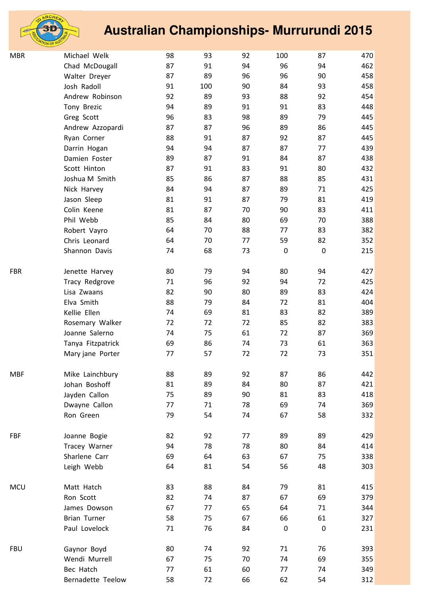

| <b>MBR</b> | Michael Welk        | 98 | 93  | 92 | 100       | 87               | 470 |
|------------|---------------------|----|-----|----|-----------|------------------|-----|
|            | Chad McDougall      | 87 | 91  | 94 | 96        | 94               | 462 |
|            | Walter Dreyer       | 87 | 89  | 96 | 96        | 90               | 458 |
|            | Josh Radoll         | 91 | 100 | 90 | 84        | 93               | 458 |
|            | Andrew Robinson     | 92 | 89  | 93 | 88        | 92               | 454 |
|            | Tony Brezic         | 94 | 89  | 91 | 91        | 83               | 448 |
|            | Greg Scott          | 96 | 83  | 98 | 89        | 79               | 445 |
|            | Andrew Azzopardi    | 87 | 87  | 96 | 89        | 86               | 445 |
|            | Ryan Corner         | 88 | 91  | 87 | 92        | 87               | 445 |
|            | Darrin Hogan        | 94 | 94  | 87 | 87        | 77               | 439 |
|            | Damien Foster       | 89 | 87  | 91 | 84        | 87               | 438 |
|            | Scott Hinton        | 87 | 91  | 83 | 91        | 80               | 432 |
|            | Joshua M Smith      | 85 | 86  | 87 | 88        | 85               | 431 |
|            | Nick Harvey         | 84 | 94  | 87 | 89        | 71               | 425 |
|            | Jason Sleep         | 81 | 91  | 87 | 79        | 81               | 419 |
|            | Colin Keene         | 81 | 87  | 70 | 90        | 83               | 411 |
|            | Phil Webb           | 85 | 84  | 80 | 69        | 70               | 388 |
|            | Robert Vayro        | 64 | 70  | 88 | 77        | 83               | 382 |
|            | Chris Leonard       | 64 | 70  | 77 | 59        | 82               | 352 |
|            | Shannon Davis       | 74 | 68  | 73 | $\pmb{0}$ | $\boldsymbol{0}$ | 215 |
| <b>FBR</b> | Jenette Harvey      | 80 | 79  | 94 | 80        | 94               | 427 |
|            | Tracy Redgrove      | 71 | 96  | 92 | 94        | 72               | 425 |
|            | Lisa Zwaans         | 82 | 90  | 80 | 89        | 83               | 424 |
|            | Elva Smith          | 88 | 79  | 84 | 72        | 81               | 404 |
|            | Kellie Ellen        | 74 | 69  | 81 | 83        | 82               | 389 |
|            | Rosemary Walker     | 72 | 72  | 72 | 85        | 82               | 383 |
|            | Joanne Salerno      | 74 | 75  | 61 | 72        | 87               | 369 |
|            | Tanya Fitzpatrick   | 69 | 86  | 74 | 73        | 61               | 363 |
|            | Mary jane Porter    | 77 | 57  | 72 | 72        | 73               | 351 |
| <b>MBF</b> | Mike Lainchbury     | 88 | 89  | 92 | 87        | 86               | 442 |
|            | Johan Boshoff       | 81 | 89  | 84 | 80        | 87               | 421 |
|            | Jayden Callon       | 75 | 89  | 90 | 81        | 83               | 418 |
|            | Dwayne Callon       | 77 | 71  | 78 | 69        | 74               | 369 |
|            | Ron Green           | 79 | 54  | 74 | 67        | 58               | 332 |
| FBF        | Joanne Bogie        | 82 | 92  | 77 | 89        | 89               | 429 |
|            | Tracey Warner       | 94 | 78  | 78 | 80        | 84               | 414 |
|            | Sharlene Carr       | 69 | 64  | 63 | 67        | 75               | 338 |
|            | Leigh Webb          | 64 | 81  | 54 | 56        | 48               | 303 |
| <b>MCU</b> | Matt Hatch          | 83 | 88  | 84 | 79        | 81               | 415 |
|            | Ron Scott           | 82 | 74  | 87 | 67        | 69               | 379 |
|            | James Dowson        | 67 | 77  | 65 | 64        | 71               | 344 |
|            | <b>Brian Turner</b> | 58 | 75  | 67 | 66        | 61               | 327 |
|            | Paul Lovelock       | 71 | 76  | 84 | $\pmb{0}$ | $\boldsymbol{0}$ | 231 |
| <b>FBU</b> | Gaynor Boyd         | 80 | 74  | 92 | 71        | 76               | 393 |
|            | Wendi Murrell       | 67 | 75  | 70 | 74        | 69               | 355 |
|            | Bec Hatch           | 77 | 61  | 60 | 77        | 74               | 349 |
|            | Bernadette Teelow   | 58 | 72  | 66 | 62        | 54               | 312 |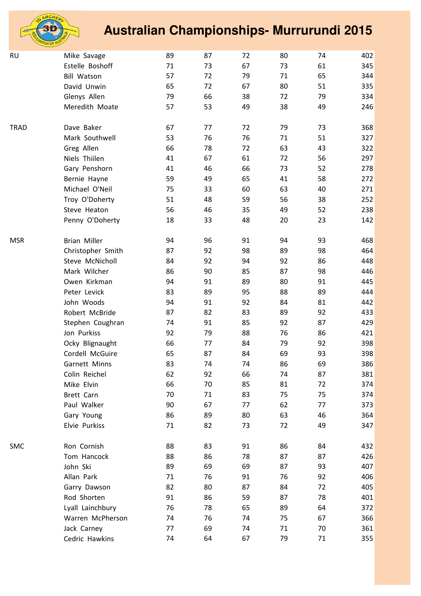

| <b>RU</b>   | Mike Savage         | 89 | 87 | 72 | 80 | 74 | 402 |
|-------------|---------------------|----|----|----|----|----|-----|
|             | Estelle Boshoff     | 71 | 73 | 67 | 73 | 61 | 345 |
|             | <b>Bill Watson</b>  | 57 | 72 | 79 | 71 | 65 | 344 |
|             | David Unwin         | 65 | 72 | 67 | 80 | 51 | 335 |
|             | Glenys Allen        | 79 | 66 | 38 | 72 | 79 | 334 |
|             | Meredith Moate      | 57 | 53 | 49 | 38 | 49 | 246 |
| <b>TRAD</b> | Dave Baker          | 67 | 77 | 72 | 79 | 73 | 368 |
|             | Mark Southwell      | 53 | 76 | 76 | 71 | 51 | 327 |
|             | Greg Allen          | 66 | 78 | 72 | 63 | 43 | 322 |
|             | Niels Thiilen       | 41 | 67 | 61 | 72 | 56 | 297 |
|             | Gary Penshorn       | 41 | 46 | 66 | 73 | 52 | 278 |
|             | Bernie Hayne        | 59 | 49 | 65 | 41 | 58 | 272 |
|             | Michael O'Neil      | 75 | 33 | 60 | 63 | 40 | 271 |
|             | Troy O'Doherty      | 51 | 48 | 59 | 56 | 38 | 252 |
|             | Steve Heaton        | 56 | 46 | 35 | 49 | 52 | 238 |
|             | Penny O'Doherty     | 18 | 33 | 48 | 20 | 23 | 142 |
| <b>MSR</b>  | <b>Brian Miller</b> | 94 | 96 | 91 | 94 | 93 | 468 |
|             | Christopher Smith   | 87 | 92 | 98 | 89 | 98 | 464 |
|             | Steve McNicholl     | 84 | 92 | 94 | 92 | 86 | 448 |
|             | Mark Wilcher        | 86 | 90 | 85 | 87 | 98 | 446 |
|             | Owen Kirkman        | 94 | 91 | 89 | 80 | 91 | 445 |
|             | Peter Levick        | 83 | 89 | 95 | 88 | 89 | 444 |
|             | John Woods          | 94 | 91 | 92 | 84 | 81 | 442 |
|             | Robert McBride      | 87 | 82 | 83 | 89 | 92 | 433 |
|             | Stephen Coughran    | 74 | 91 | 85 | 92 | 87 | 429 |
|             | Jon Purkiss         | 92 | 79 | 88 | 76 | 86 | 421 |
|             | Ocky Blignaught     | 66 | 77 | 84 | 79 | 92 | 398 |
|             | Cordell McGuire     | 65 | 87 | 84 | 69 | 93 | 398 |
|             | Garnett Minns       | 83 | 74 | 74 | 86 | 69 | 386 |
|             | Colin Reichel       | 62 | 92 | 66 | 74 | 87 | 381 |
|             | Mike Elvin          | 66 | 70 | 85 | 81 | 72 | 374 |
|             | Brett Carn          | 70 | 71 | 83 | 75 | 75 | 374 |
|             | Paul Walker         | 90 | 67 | 77 | 62 | 77 | 373 |
|             | Gary Young          | 86 | 89 | 80 | 63 | 46 | 364 |
|             | Elvie Purkiss       | 71 | 82 | 73 | 72 | 49 | 347 |
| <b>SMC</b>  | Ron Cornish         | 88 | 83 | 91 | 86 | 84 | 432 |
|             | Tom Hancock         | 88 | 86 | 78 | 87 | 87 | 426 |
|             | John Ski            | 89 | 69 | 69 | 87 | 93 | 407 |
|             | Allan Park          | 71 | 76 | 91 | 76 | 92 | 406 |
|             | Garry Dawson        | 82 | 80 | 87 | 84 | 72 | 405 |
|             | Rod Shorten         | 91 | 86 | 59 | 87 | 78 | 401 |
|             | Lyall Lainchbury    | 76 | 78 | 65 | 89 | 64 | 372 |
|             | Warren McPherson    | 74 | 76 | 74 | 75 | 67 | 366 |
|             | Jack Carney         | 77 | 69 | 74 | 71 | 70 | 361 |
|             | Cedric Hawkins      | 74 | 64 | 67 | 79 | 71 | 355 |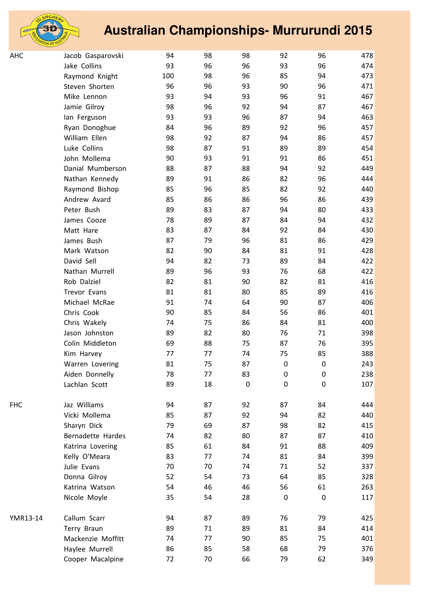

| АНС      | Jacob Gasparovski | 94  | 98 | 98          | 92               | 96               | 478 |
|----------|-------------------|-----|----|-------------|------------------|------------------|-----|
|          | Jake Collins      | 93  | 96 | 96          | 93               | 96               | 474 |
|          | Raymond Knight    | 100 | 98 | 96          | 85               | 94               | 473 |
|          | Steven Shorten    | 96  | 96 | 93          | 90               | 96               | 471 |
|          | Mike Lennon       | 93  | 94 | 93          | 96               | 91               | 467 |
|          | Jamie Gilroy      | 98  | 96 | 92          | 94               | 87               | 467 |
|          | lan Ferguson      | 93  | 93 | 96          | 87               | 94               | 463 |
|          | Ryan Donoghue     | 84  | 96 | 89          | 92               | 96               | 457 |
|          | William Ellen     | 98  | 92 | 87          | 94               | 86               | 457 |
|          | Luke Collins      | 98  | 87 | 91          | 89               | 89               | 454 |
|          | John Mollema      | 90  | 93 | 91          | 91               | 86               | 451 |
|          | Danial Mumberson  | 88  | 87 | 88          | 94               | 92               | 449 |
|          | Nathan Kennedy    | 89  | 91 | 86          | 82               | 96               | 444 |
|          | Raymond Bishop    | 85  | 96 | 85          | 82               | 92               | 440 |
|          | Andrew Avard      | 85  | 86 | 86          | 96               | 86               | 439 |
|          | Peter Bush        | 89  | 83 | 87          | 94               | 80               | 433 |
|          | James Cooze       | 78  | 89 | 87          | 84               | 94               | 432 |
|          | Matt Hare         | 83  | 87 | 84          | 92               | 84               | 430 |
|          | James Bush        | 87  | 79 | 96          | 81               | 86               | 429 |
|          | Mark Watson       | 82  | 90 | 84          | 81               | 91               | 428 |
|          | David Sell        | 94  | 82 | 73          | 89               | 84               | 422 |
|          | Nathan Murrell    | 89  | 96 | 93          | 76               | 68               | 422 |
|          | Rob Dalziel       | 82  | 81 | 90          | 82               | 81               | 416 |
|          | Trevor Evans      | 81  | 81 | 80          | 85               | 89               | 416 |
|          | Michael McRae     | 91  | 74 | 64          | 90               | 87               | 406 |
|          | Chris Cook        | 90  | 85 | 84          | 56               | 86               | 401 |
|          | Chris Wakely      | 74  | 75 | 86          | 84               | 81               | 400 |
|          | Jason Johnston    | 89  | 82 | 80          | 76               | 71               | 398 |
|          | Colin Middleton   | 69  | 88 | 75          | 87               | 76               | 395 |
|          | Kim Harvey        | 77  | 77 | 74          | 75               | 85               | 388 |
|          | Warren Lovering   | 81  | 75 | 87          | $\pmb{0}$        | $\pmb{0}$        | 243 |
|          | Aiden Donnelly    | 78  | 77 | 83          | 0                | $\boldsymbol{0}$ | 238 |
|          | Lachlan Scott     | 89  | 18 | $\mathbf 0$ | $\boldsymbol{0}$ | $\mathbf 0$      | 107 |
| FHC      | Jaz Williams      | 94  | 87 | 92          | 87               | 84               | 444 |
|          | Vicki Mollema     | 85  | 87 | 92          | 94               | 82               | 440 |
|          | Sharyn Dick       | 79  | 69 | 87          | 98               | 82               | 415 |
|          | Bernadette Hardes | 74  | 82 | 80          | 87               | 87               | 410 |
|          | Katrina Lovering  | 85  | 61 | 84          | 91               | 88               | 409 |
|          | Kelly O'Meara     | 83  | 77 | 74          | 81               | 84               | 399 |
|          | Julie Evans       | 70  | 70 | 74          | 71               | 52               | 337 |
|          | Donna Gilroy      | 52  | 54 | 73          | 64               | 85               | 328 |
|          | Katrina Watson    | 54  | 46 | 46          | 56               | 61               | 263 |
|          | Nicole Moyle      | 35  | 54 | 28          | $\boldsymbol{0}$ | $\mathbf 0$      | 117 |
| YMR13-14 | Callum Scarr      | 94  | 87 | 89          | 76               | 79               | 425 |
|          | Terry Braun       | 89  | 71 | 89          | 81               | 84               | 414 |
|          | Mackenzie Moffitt | 74  | 77 | 90          | 85               | 75               | 401 |
|          | Haylee Murrell    | 86  | 85 | 58          | 68               | 79               | 376 |
|          | Cooper Macalpine  | 72  | 70 | 66          | 79               | 62               | 349 |
|          |                   |     |    |             |                  |                  |     |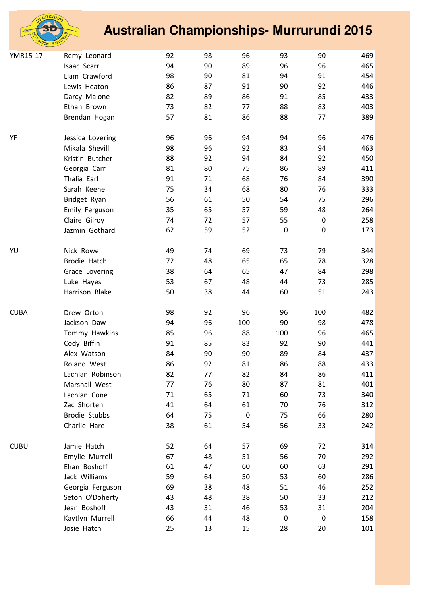

| YMR15-17    | Remy Leonard         | 92 | 98 | 96          | 93               | 90               | 469 |
|-------------|----------------------|----|----|-------------|------------------|------------------|-----|
|             | Isaac Scarr          | 94 | 90 | 89          | 96               | 96               | 465 |
|             | Liam Crawford        | 98 | 90 | 81          | 94               | 91               | 454 |
|             | Lewis Heaton         | 86 | 87 | 91          | 90               | 92               | 446 |
|             | Darcy Malone         | 82 | 89 | 86          | 91               | 85               | 433 |
|             | Ethan Brown          | 73 | 82 | 77          | 88               | 83               | 403 |
|             | Brendan Hogan        | 57 | 81 | 86          | 88               | 77               | 389 |
|             |                      |    |    |             |                  |                  |     |
| YF          | Jessica Lovering     | 96 | 96 | 94          | 94               | 96               | 476 |
|             | Mikala Shevill       | 98 | 96 | 92          | 83               | 94               | 463 |
|             | Kristin Butcher      | 88 | 92 | 94          | 84               | 92               | 450 |
|             | Georgia Carr         | 81 | 80 | 75          | 86               | 89               | 411 |
|             | Thalia Earl          | 91 | 71 | 68          | 76               | 84               | 390 |
|             | Sarah Keene          | 75 | 34 | 68          | 80               | 76               | 333 |
|             | Bridget Ryan         | 56 | 61 | 50          | 54               | 75               | 296 |
|             | Emily Ferguson       | 35 | 65 | 57          | 59               | 48               | 264 |
|             | Claire Gilroy        | 74 | 72 | 57          | 55               | $\pmb{0}$        | 258 |
|             | Jazmin Gothard       | 62 | 59 | 52          | $\pmb{0}$        | $\pmb{0}$        | 173 |
| YU          | Nick Rowe            | 49 | 74 | 69          | 73               | 79               | 344 |
|             | Brodie Hatch         | 72 | 48 | 65          | 65               | 78               | 328 |
|             | Grace Lovering       | 38 | 64 | 65          | 47               | 84               | 298 |
|             | Luke Hayes           | 53 | 67 | 48          | 44               | 73               | 285 |
|             | Harrison Blake       | 50 | 38 | 44          | 60               | 51               | 243 |
| <b>CUBA</b> | Drew Orton           | 98 | 92 | 96          | 96               | 100              | 482 |
|             | Jackson Daw          | 94 | 96 | 100         | 90               | 98               | 478 |
|             | Tommy Hawkins        | 85 | 96 | 88          | 100              | 96               | 465 |
|             | Cody Biffin          | 91 | 85 | 83          | 92               | 90               | 441 |
|             | Alex Watson          | 84 | 90 | 90          | 89               | 84               | 437 |
|             | Roland West          | 86 | 92 | 81          | 86               | 88               | 433 |
|             | Lachlan Robinson     | 82 | 77 | 82          | 84               | 86               | 411 |
|             | Marshall West        | 77 | 76 | 80          | 87               | 81               | 401 |
|             | Lachlan Cone         | 71 | 65 | 71          | 60               | 73               | 340 |
|             | Zac Shorten          | 41 | 64 | 61          | 70               | 76               | 312 |
|             | <b>Brodie Stubbs</b> | 64 | 75 | $\mathbf 0$ | 75               | 66               | 280 |
|             | Charlie Hare         | 38 | 61 | 54          | 56               | 33               | 242 |
| <b>CUBU</b> | Jamie Hatch          | 52 | 64 | 57          | 69               | 72               | 314 |
|             | Emylie Murrell       | 67 | 48 | 51          | 56               | 70               | 292 |
|             | Ehan Boshoff         | 61 | 47 | 60          | 60               | 63               | 291 |
|             | Jack Williams        | 59 | 64 | 50          | 53               | 60               | 286 |
|             | Georgia Ferguson     | 69 | 38 | 48          | 51               | 46               | 252 |
|             | Seton O'Doherty      | 43 | 48 | 38          | 50               | 33               | 212 |
|             | Jean Boshoff         | 43 | 31 | 46          | 53               | 31               | 204 |
|             | Kaytlyn Murrell      | 66 | 44 | 48          | $\boldsymbol{0}$ | $\boldsymbol{0}$ | 158 |
|             | Josie Hatch          | 25 | 13 | 15          | 28               | 20               | 101 |